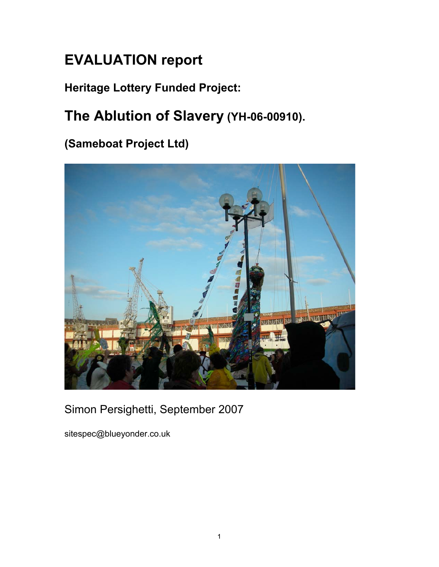# **EVALUATION report**

## **Heritage Lottery Funded Project:**

# **The Ablution of Slavery (YH-06-00910).**

## **(Sameboat Project Ltd)**



## Simon Persighetti, September 2007

sitespec@blueyonder.co.uk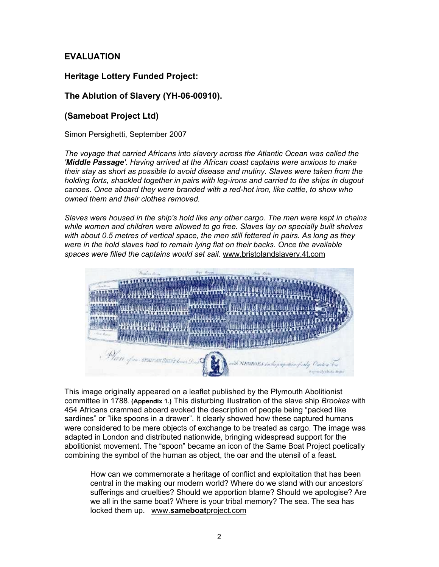## **EVALUATION**

## **Heritage Lottery Funded Project:**

## **The Ablution of Slavery (YH-06-00910).**

## **(Sameboat Project Ltd)**

Simon Persighetti, September 2007

*The voyage that carried Africans into slavery across the Atlantic Ocean was called the 'Middle Passage'. Having arrived at the African coast captains were anxious to make their stay as short as possible to avoid disease and mutiny. Slaves were taken from the holding forts, shackled together in pairs with leg-irons and carried to the ships in dugout canoes. Once aboard they were branded with a red-hot iron, like cattle, to show who owned them and their clothes removed.*

*Slaves were housed in the ship's hold like any other cargo. The men were kept in chains while women and children were allowed to go free. Slaves lay on specially built shelves with about 0.5 metres of vertical space, the men still fettered in pairs. As long as they were in the hold slaves had to remain lying flat on their backs. Once the available spaces were filled the captains would set sail.* www.bristolandslavery.4t.com



This image originally appeared on a leaflet published by the Plymouth Abolitionist committee in 1788. **(Appendix 1.)** This disturbing illustration of the slave ship *Brookes* with 454 Africans crammed aboard evoked the description of people being "packed like sardines" or "like spoons in a drawer". It clearly showed how these captured humans were considered to be mere objects of exchange to be treated as cargo. The image was adapted in London and distributed nationwide, bringing widespread support for the abolitionist movement. The "spoon" became an icon of the Same Boat Project poetically combining the symbol of the human as object, the oar and the utensil of a feast.

How can we commemorate a heritage of conflict and exploitation that has been central in the making our modern world? Where do we stand with our ancestors' sufferings and cruelties? Should we apportion blame? Should we apologise? Are we all in the same boat? Where is your tribal memory? The sea. The sea has locked them up. www.**sameboat**project.com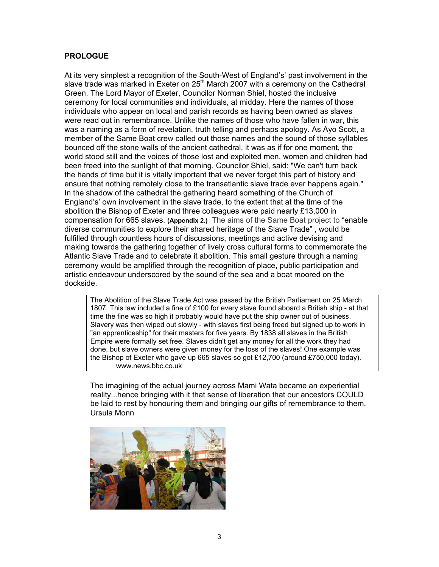#### **PROLOGUE**

At its very simplest a recognition of the South-West of England's' past involvement in the slave trade was marked in Exeter on  $25<sup>th</sup>$  March 2007 with a ceremony on the Cathedral Green. The Lord Mayor of Exeter, Councilor Norman Shiel, hosted the inclusive ceremony for local communities and individuals, at midday. Here the names of those individuals who appear on local and parish records as having been owned as slaves were read out in remembrance. Unlike the names of those who have fallen in war, this was a naming as a form of revelation, truth telling and perhaps apology. As Ayo Scott, a member of the Same Boat crew called out those names and the sound of those syllables bounced off the stone walls of the ancient cathedral, it was as if for one moment, the world stood still and the voices of those lost and exploited men, women and children had been freed into the sunlight of that morning. Councilor Shiel, said: "We can't turn back the hands of time but it is vitally important that we never forget this part of history and ensure that nothing remotely close to the transatlantic slave trade ever happens again." In the shadow of the cathedral the gathering heard something of the Church of England's' own involvement in the slave trade, to the extent that at the time of the abolition the Bishop of Exeter and three colleagues were paid nearly £13,000 in compensation for 665 slaves. **(Appendix 2.)** The aims of the Same Boat project to "enable diverse communities to explore their shared heritage of the Slave Trade" , would be fulfilled through countless hours of discussions, meetings and active devising and making towards the gathering together of lively cross cultural forms to commemorate the Atlantic Slave Trade and to celebrate it abolition. This small gesture through a naming ceremony would be amplified through the recognition of place, public participation and artistic endeavour underscored by the sound of the sea and a boat moored on the dockside.

The Abolition of the Slave Trade Act was passed by the British Parliament on 25 March 1807. This law included a fine of £100 for every slave found aboard a British ship - at that time the fine was so high it probably would have put the ship owner out of business. Slavery was then wiped out slowly - with slaves first being freed but signed up to work in "an apprenticeship" for their masters for five years. By 1838 all slaves in the British Empire were formally set free. Slaves didn't get any money for all the work they had done, but slave owners were given money for the loss of the slaves! One example was the Bishop of Exeter who gave up 665 slaves so got £12,700 (around £750,000 today). www.news.bbc.co.uk

The imagining of the actual journey across Mami Wata became an experiential reality...hence bringing with it that sense of liberation that our ancestors COULD be laid to rest by honouring them and bringing our gifts of remembrance to them. Ursula Monn

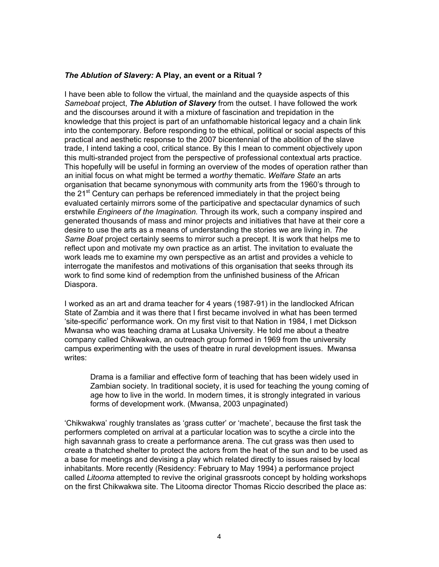#### *The Ablution of Slavery:* **A Play, an event or a Ritual ?**

I have been able to follow the virtual, the mainland and the quayside aspects of this *Sameboat* project, *The Ablution of Slavery* from the outset. I have followed the work and the discourses around it with a mixture of fascination and trepidation in the knowledge that this project is part of an unfathomable historical legacy and a chain link into the contemporary. Before responding to the ethical, political or social aspects of this practical and aesthetic response to the 2007 bicentennial of the abolition of the slave trade, I intend taking a cool, critical stance. By this I mean to comment objectively upon this multi-stranded project from the perspective of professional contextual arts practice. This hopefully will be useful in forming an overview of the modes of operation rather than an initial focus on what might be termed a *worthy* thematic. *Welfare State* an arts organisation that became synonymous with community arts from the 1960's through to the 21<sup>st</sup> Century can perhaps be referenced immediately in that the project being evaluated certainly mirrors some of the participative and spectacular dynamics of such erstwhile *Engineers of the Imagination.* Through its work, such a company inspired and generated thousands of mass and minor projects and initiatives that have at their core a desire to use the arts as a means of understanding the stories we are living in. *The Same Boat* project certainly seems to mirror such a precept. It is work that helps me to reflect upon and motivate my own practice as an artist. The invitation to evaluate the work leads me to examine my own perspective as an artist and provides a vehicle to interrogate the manifestos and motivations of this organisation that seeks through its work to find some kind of redemption from the unfinished business of the African Diaspora.

I worked as an art and drama teacher for 4 years (1987-91) in the landlocked African State of Zambia and it was there that I first became involved in what has been termed 'site-specific' performance work. On my first visit to that Nation in 1984, I met Dickson Mwansa who was teaching drama at Lusaka University. He told me about a theatre company called Chikwakwa, an outreach group formed in 1969 from the university campus experimenting with the uses of theatre in rural development issues. Mwansa writes:

Drama is a familiar and effective form of teaching that has been widely used in Zambian society. In traditional society, it is used for teaching the young coming of age how to live in the world. In modern times, it is strongly integrated in various forms of development work. (Mwansa, 2003 unpaginated)

'Chikwakwa' roughly translates as 'grass cutter' or 'machete', because the first task the performers completed on arrival at a particular location was to scythe a circle into the high savannah grass to create a performance arena. The cut grass was then used to create a thatched shelter to protect the actors from the heat of the sun and to be used as a base for meetings and devising a play which related directly to issues raised by local inhabitants. More recently (Residency: February to May 1994) a performance project called *Litooma* attempted to revive the original grassroots concept by holding workshops on the first Chikwakwa site. The Litooma director Thomas Riccio described the place as: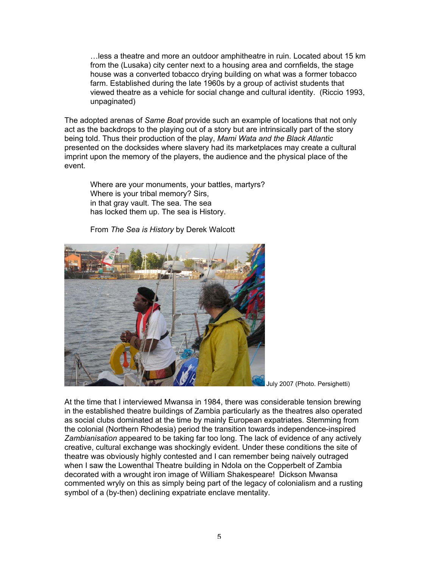…less a theatre and more an outdoor amphitheatre in ruin. Located about 15 km from the (Lusaka) city center next to a housing area and cornfields, the stage house was a converted tobacco drying building on what was a former tobacco farm. Established during the late 1960s by a group of activist students that viewed theatre as a vehicle for social change and cultural identity. (Riccio 1993, unpaginated)

The adopted arenas of *Same Boat* provide such an example of locations that not only act as the backdrops to the playing out of a story but are intrinsically part of the story being told. Thus their production of the play, *Mami Wata and the Black Atlantic* presented on the docksides where slavery had its marketplaces may create a cultural imprint upon the memory of the players, the audience and the physical place of the event.

Where are your monuments, your battles, martyrs? Where is your tribal memory? Sirs, in that gray vault. The sea. The sea has locked them up. The sea is History.

From *The Sea is History* by Derek Walcott



July 2007 (Photo. Persighetti)

At the time that I interviewed Mwansa in 1984, there was considerable tension brewing in the established theatre buildings of Zambia particularly as the theatres also operated as social clubs dominated at the time by mainly European expatriates. Stemming from the colonial (Northern Rhodesia) period the transition towards independence-inspired *Zambianisation* appeared to be taking far too long. The lack of evidence of any actively creative, cultural exchange was shockingly evident. Under these conditions the site of theatre was obviously highly contested and I can remember being naively outraged when I saw the Lowenthal Theatre building in Ndola on the Copperbelt of Zambia decorated with a wrought iron image of William Shakespeare! Dickson Mwansa commented wryly on this as simply being part of the legacy of colonialism and a rusting symbol of a (by-then) declining expatriate enclave mentality.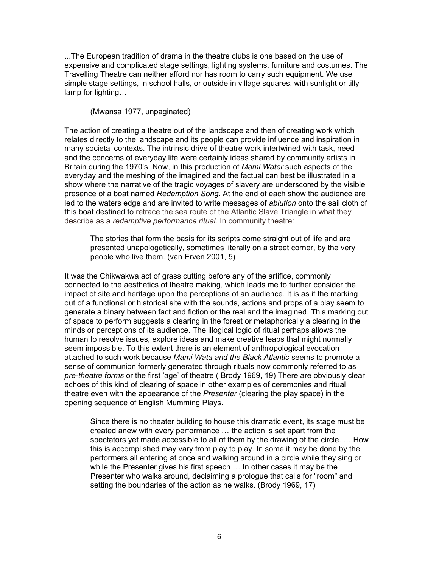...The European tradition of drama in the theatre clubs is one based on the use of expensive and complicated stage settings, lighting systems, furniture and costumes. The Travelling Theatre can neither afford nor has room to carry such equipment. We use simple stage settings, in school halls, or outside in village squares, with sunlight or tilly lamp for lighting…

(Mwansa 1977, unpaginated)

The action of creating a theatre out of the landscape and then of creating work which relates directly to the landscape and its people can provide influence and inspiration in many societal contexts. The intrinsic drive of theatre work intertwined with task, need and the concerns of everyday life were certainly ideas shared by community artists in Britain during the 1970's .Now, in this production of *Mami Water* such aspects of the everyday and the meshing of the imagined and the factual can best be illustrated in a show where the narrative of the tragic voyages of slavery are underscored by the visible presence of a boat named *Redemption Song*. At the end of each show the audience are led to the waters edge and are invited to write messages of *ablution* onto the sail cloth of this boat destined to retrace the sea route of the Atlantic Slave Triangle in what they describe as a *redemptive performance ritual*. In community theatre:

The stories that form the basis for its scripts come straight out of life and are presented unapologetically, sometimes literally on a street corner, by the very people who live them. (van Erven 2001, 5)

It was the Chikwakwa act of grass cutting before any of the artifice, commonly connected to the aesthetics of theatre making, which leads me to further consider the impact of site and heritage upon the perceptions of an audience. It is as if the marking out of a functional or historical site with the sounds, actions and props of a play seem to generate a binary between fact and fiction or the real and the imagined. This marking out of space to perform suggests a clearing in the forest or metaphorically a clearing in the minds or perceptions of its audience. The illogical logic of ritual perhaps allows the human to resolve issues, explore ideas and make creative leaps that might normally seem impossible. To this extent there is an element of anthropological evocation attached to such work because *Mami Wata and the Black Atlantic* seems to promote a sense of communion formerly generated through rituals now commonly referred to as *pre-theatre forms* or the first 'age' of theatre ( Brody 1969, 19) There are obviously clear echoes of this kind of clearing of space in other examples of ceremonies and ritual theatre even with the appearance of the *Presenter* (clearing the play space) in the opening sequence of English Mumming Plays.

Since there is no theater building to house this dramatic event, its stage must be created anew with every performance … the action is set apart from the spectators yet made accessible to all of them by the drawing of the circle. … How this is accomplished may vary from play to play. In some it may be done by the performers all entering at once and walking around in a circle while they sing or while the Presenter gives his first speech … In other cases it may be the Presenter who walks around, declaiming a prologue that calls for "room" and setting the boundaries of the action as he walks. (Brody 1969, 17)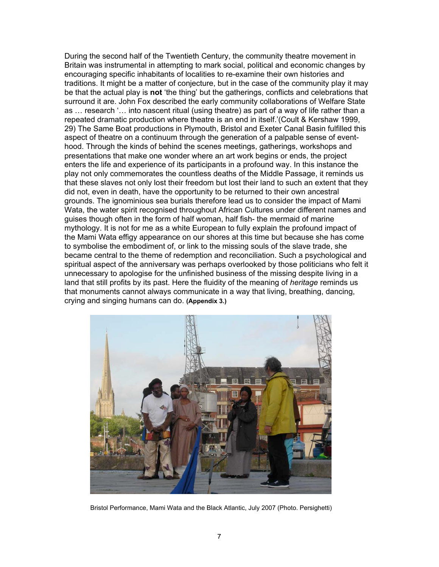During the second half of the Twentieth Century, the community theatre movement in Britain was instrumental in attempting to mark social, political and economic changes by encouraging specific inhabitants of localities to re-examine their own histories and traditions. It might be a matter of conjecture, but in the case of the community play it may be that the actual play is **not** 'the thing' but the gatherings, conflicts and celebrations that surround it are. John Fox described the early community collaborations of Welfare State as … research '… into nascent ritual (using theatre) as part of a way of life rather than a repeated dramatic production where theatre is an end in itself.'(Coult & Kershaw 1999, 29) The Same Boat productions in Plymouth, Bristol and Exeter Canal Basin fulfilled this aspect of theatre on a continuum through the generation of a palpable sense of eventhood. Through the kinds of behind the scenes meetings, gatherings, workshops and presentations that make one wonder where an art work begins or ends, the project enters the life and experience of its participants in a profound way. In this instance the play not only commemorates the countless deaths of the Middle Passage, it reminds us that these slaves not only lost their freedom but lost their land to such an extent that they did not, even in death, have the opportunity to be returned to their own ancestral grounds. The ignominious sea burials therefore lead us to consider the impact of Mami Wata, the water spirit recognised throughout African Cultures under different names and guises though often in the form of half woman, half fish- the mermaid of marine mythology. It is not for me as a white European to fully explain the profound impact of the Mami Wata effigy appearance on our shores at this time but because she has come to symbolise the embodiment of, or link to the missing souls of the slave trade, she became central to the theme of redemption and reconciliation. Such a psychological and spiritual aspect of the anniversary was perhaps overlooked by those politicians who felt it unnecessary to apologise for the unfinished business of the missing despite living in a land that still profits by its past. Here the fluidity of the meaning of *heritage* reminds us that monuments cannot always communicate in a way that living, breathing, dancing, crying and singing humans can do. **(Appendix 3.)**



Bristol Performance, Mami Wata and the Black Atlantic, July 2007 (Photo. Persighetti)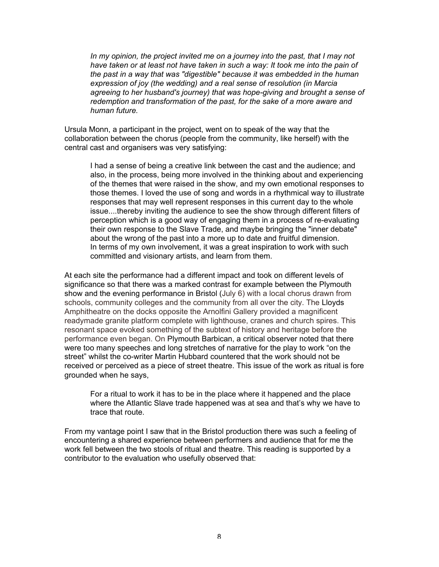*In my opinion, the project invited me on a journey into the past, that I may not have taken or at least not have taken in such a way: It took me into the pain of the past in a way that was "digestible" because it was embedded in the human expression of joy (the wedding) and a real sense of resolution (in Marcia agreeing to her husband's journey) that was hope-giving and brought a sense of redemption and transformation of the past, for the sake of a more aware and human future.*

Ursula Monn, a participant in the project, went on to speak of the way that the collaboration between the chorus (people from the community, like herself) with the central cast and organisers was very satisfying:

I had a sense of being a creative link between the cast and the audience; and also, in the process, being more involved in the thinking about and experiencing of the themes that were raised in the show, and my own emotional responses to those themes. I loved the use of song and words in a rhythmical way to illustrate responses that may well represent responses in this current day to the whole issue....thereby inviting the audience to see the show through different filters of perception which is a good way of engaging them in a process of re-evaluating their own response to the Slave Trade, and maybe bringing the "inner debate" about the wrong of the past into a more up to date and fruitful dimension. In terms of my own involvement, it was a great inspiration to work with such committed and visionary artists, and learn from them.

At each site the performance had a different impact and took on different levels of significance so that there was a marked contrast for example between the Plymouth show and the evening performance in Bristol (July 6) with a local chorus drawn from schools, community colleges and the community from all over the city. The Lloyds Amphitheatre on the docks opposite the Arnolfini Gallery provided a magnificent readymade granite platform complete with lighthouse, cranes and church spires. This resonant space evoked something of the subtext of history and heritage before the performance even began. On Plymouth Barbican, a critical observer noted that there were too many speeches and long stretches of narrative for the play to work "on the street" whilst the co-writer Martin Hubbard countered that the work should not be received or perceived as a piece of street theatre. This issue of the work as ritual is fore grounded when he says,

For a ritual to work it has to be in the place where it happened and the place where the Atlantic Slave trade happened was at sea and that's why we have to trace that route.

From my vantage point I saw that in the Bristol production there was such a feeling of encountering a shared experience between performers and audience that for me the work fell between the two stools of ritual and theatre. This reading is supported by a contributor to the evaluation who usefully observed that: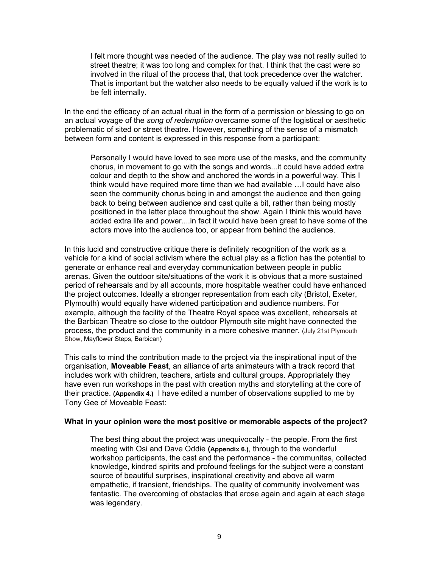I felt more thought was needed of the audience. The play was not really suited to street theatre; it was too long and complex for that. I think that the cast were so involved in the ritual of the process that, that took precedence over the watcher. That is important but the watcher also needs to be equally valued if the work is to be felt internally.

In the end the efficacy of an actual ritual in the form of a permission or blessing to go on an actual voyage of the *song of redemption* overcame some of the logistical or aesthetic problematic of sited or street theatre. However, something of the sense of a mismatch between form and content is expressed in this response from a participant:

Personally I would have loved to see more use of the masks, and the community chorus, in movement to go with the songs and words...it could have added extra colour and depth to the show and anchored the words in a powerful way. This I think would have required more time than we had available …I could have also seen the community chorus being in and amongst the audience and then going back to being between audience and cast quite a bit, rather than being mostly positioned in the latter place throughout the show. Again I think this would have added extra life and power....in fact it would have been great to have some of the actors move into the audience too, or appear from behind the audience.

In this lucid and constructive critique there is definitely recognition of the work as a vehicle for a kind of social activism where the actual play as a fiction has the potential to generate or enhance real and everyday communication between people in public arenas. Given the outdoor site/situations of the work it is obvious that a more sustained period of rehearsals and by all accounts, more hospitable weather could have enhanced the project outcomes. Ideally a stronger representation from each city (Bristol, Exeter, Plymouth) would equally have widened participation and audience numbers. For example, although the facility of the Theatre Royal space was excellent, rehearsals at the Barbican Theatre so close to the outdoor Plymouth site might have connected the process, the product and the community in a more cohesive manner. (July 21st Plymouth Show, Mayflower Steps, Barbican)

This calls to mind the contribution made to the project via the inspirational input of the organisation, **Moveable Feast**, an alliance of arts animateurs with a track record that includes work with children, teachers, artists and cultural groups. Appropriately they have even run workshops in the past with creation myths and storytelling at the core of their practice. **(Appendix 4.)** I have edited a number of observations supplied to me by Tony Gee of Moveable Feast:

#### **What in your opinion were the most positive or memorable aspects of the project?**

The best thing about the project was unequivocally - the people. From the first meeting with Osi and Dave Oddie **(Appendix 6.)**, through to the wonderful workshop participants, the cast and the performance - the communitas, collected knowledge, kindred spirits and profound feelings for the subject were a constant source of beautiful surprises, inspirational creativity and above all warm empathetic, if transient, friendships. The quality of community involvement was fantastic. The overcoming of obstacles that arose again and again at each stage was legendary.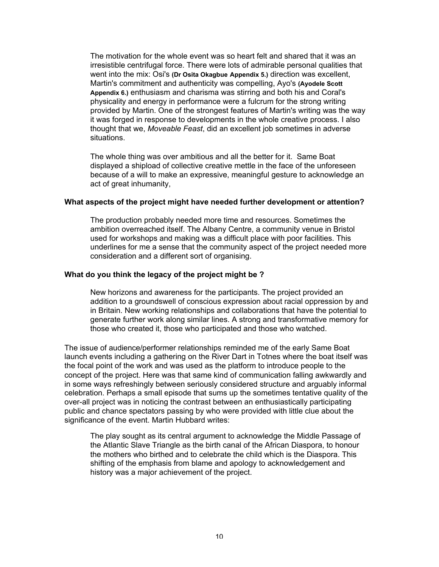The motivation for the whole event was so heart felt and shared that it was an irresistible centrifugal force. There were lots of admirable personal qualities that went into the mix: Osi's **(Dr Osita Okagbue Appendix 5.)** direction was excellent, Martin's commitment and authenticity was compelling, Ayo's **(Ayodele Scott Appendix 6.)** enthusiasm and charisma was stirring and both his and Coral's physicality and energy in performance were a fulcrum for the strong writing provided by Martin. One of the strongest features of Martin's writing was the way it was forged in response to developments in the whole creative process. I also thought that we, *Moveable Feast*, did an excellent job sometimes in adverse situations.

The whole thing was over ambitious and all the better for it. Same Boat displayed a shipload of collective creative mettle in the face of the unforeseen because of a will to make an expressive, meaningful gesture to acknowledge an act of great inhumanity,

#### **What aspects of the project might have needed further development or attention?**

The production probably needed more time and resources. Sometimes the ambition overreached itself. The Albany Centre, a community venue in Bristol used for workshops and making was a difficult place with poor facilities. This underlines for me a sense that the community aspect of the project needed more consideration and a different sort of organising.

#### **What do you think the legacy of the project might be ?**

New horizons and awareness for the participants. The project provided an addition to a groundswell of conscious expression about racial oppression by and in Britain. New working relationships and collaborations that have the potential to generate further work along similar lines. A strong and transformative memory for those who created it, those who participated and those who watched.

The issue of audience/performer relationships reminded me of the early Same Boat launch events including a gathering on the River Dart in Totnes where the boat itself was the focal point of the work and was used as the platform to introduce people to the concept of the project. Here was that same kind of communication falling awkwardly and in some ways refreshingly between seriously considered structure and arguably informal celebration. Perhaps a small episode that sums up the sometimes tentative quality of the over-all project was in noticing the contrast between an enthusiastically participating public and chance spectators passing by who were provided with little clue about the significance of the event. Martin Hubbard writes:

The play sought as its central argument to acknowledge the Middle Passage of the Atlantic Slave Triangle as the birth canal of the African Diaspora, to honour the mothers who birthed and to celebrate the child which is the Diaspora. This shifting of the emphasis from blame and apology to acknowledgement and history was a major achievement of the project.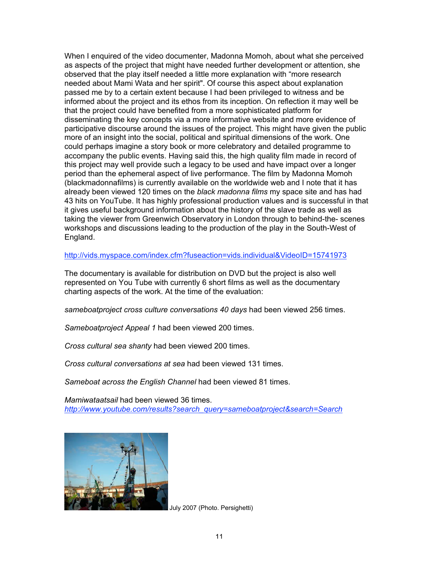When I enquired of the video documenter, Madonna Momoh, about what she perceived as aspects of the project that might have needed further development or attention, she observed that the play itself needed a little more explanation with "more research needed about Mami Wata and her spirit". Of course this aspect about explanation passed me by to a certain extent because I had been privileged to witness and be informed about the project and its ethos from its inception. On reflection it may well be that the project could have benefited from a more sophisticated platform for disseminating the key concepts via a more informative website and more evidence of participative discourse around the issues of the project. This might have given the public more of an insight into the social, political and spiritual dimensions of the work. One could perhaps imagine a story book or more celebratory and detailed programme to accompany the public events. Having said this, the high quality film made in record of this project may well provide such a legacy to be used and have impact over a longer period than the ephemeral aspect of live performance. The film by Madonna Momoh (blackmadonnafilms) is currently available on the worldwide web and I note that it has already been viewed 120 times on the *black madonna films* my space site and has had 43 hits on YouTube. It has highly professional production values and is successful in that it gives useful background information about the history of the slave trade as well as taking the viewer from Greenwich Observatory in London through to behind-the- scenes workshops and discussions leading to the production of the play in the South-West of England.

http://vids.myspace.com/index.cfm?fuseaction=vids.individual&VideoID=15741973

The documentary is available for distribution on DVD but the project is also well represented on You Tube with currently 6 short films as well as the documentary charting aspects of the work. At the time of the evaluation:

*sameboatproject cross culture conversations 40 days* had been viewed 256 times.

*Sameboatproject Appeal 1* had been viewed 200 times.

*Cross cultural sea shanty* had been viewed 200 times.

*Cross cultural conversations at sea* had been viewed 131 times.

*Sameboat across the English Channel* had been viewed 81 times.

*Mamiwataatsail* had been viewed 36 times. *http://www.youtube.com/results?search\_query=sameboatproject&search=Search*



July 2007 (Photo. Persighetti)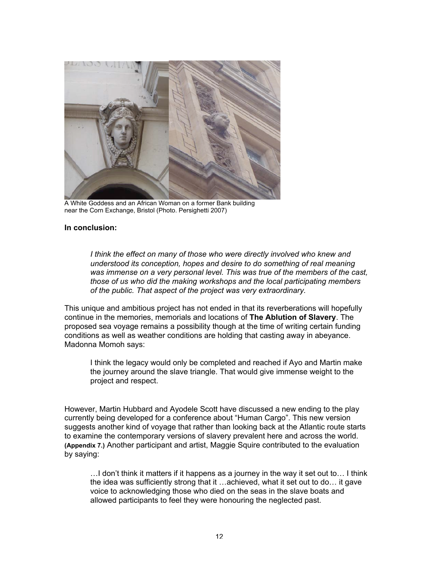

A White Goddess and an African Woman on a former Bank building near the Corn Exchange, Bristol (Photo. Persighetti 2007)

#### **In conclusion:**

*I think the effect on many of those who were directly involved who knew and understood its conception, hopes and desire to do something of real meaning was immense on a very personal level. This was true of the members of the cast, those of us who did the making workshops and the local participating members of the public. That aspect of the project was very extraordinary.*

This unique and ambitious project has not ended in that its reverberations will hopefully continue in the memories, memorials and locations of **The Ablution of Slavery**. The proposed sea voyage remains a possibility though at the time of writing certain funding conditions as well as weather conditions are holding that casting away in abeyance. Madonna Momoh says:

I think the legacy would only be completed and reached if Ayo and Martin make the journey around the slave triangle. That would give immense weight to the project and respect.

However, Martin Hubbard and Ayodele Scott have discussed a new ending to the play currently being developed for a conference about "Human Cargo". This new version suggests another kind of voyage that rather than looking back at the Atlantic route starts to examine the contemporary versions of slavery prevalent here and across the world. **(Appendix 7.)** Another participant and artist, Maggie Squire contributed to the evaluation by saying:

…I don't think it matters if it happens as a journey in the way it set out to… I think the idea was sufficiently strong that it …achieved, what it set out to do… it gave voice to acknowledging those who died on the seas in the slave boats and allowed participants to feel they were honouring the neglected past.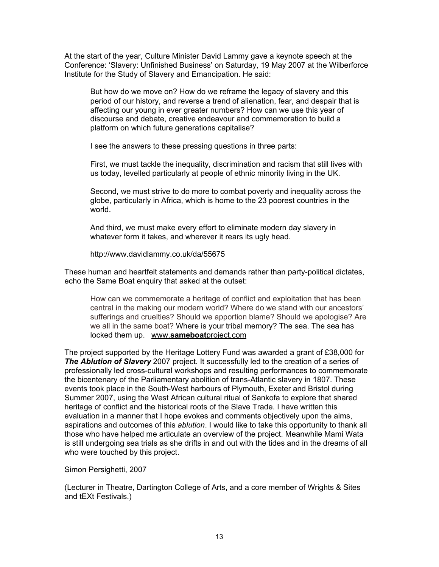At the start of the year, Culture Minister David Lammy gave a keynote speech at the Conference: 'Slavery: Unfinished Business' on Saturday, 19 May 2007 at the Wilberforce Institute for the Study of Slavery and Emancipation. He said:

But how do we move on? How do we reframe the legacy of slavery and this period of our history, and reverse a trend of alienation, fear, and despair that is affecting our young in ever greater numbers? How can we use this year of discourse and debate, creative endeavour and commemoration to build a platform on which future generations capitalise?

I see the answers to these pressing questions in three parts:

First, we must tackle the inequality, discrimination and racism that still lives with us today, levelled particularly at people of ethnic minority living in the UK.

Second, we must strive to do more to combat poverty and inequality across the globe, particularly in Africa, which is home to the 23 poorest countries in the world.

And third, we must make every effort to eliminate modern day slavery in whatever form it takes, and wherever it rears its ugly head.

http://www.davidlammy.co.uk/da/55675

These human and heartfelt statements and demands rather than party-political dictates, echo the Same Boat enquiry that asked at the outset:

How can we commemorate a heritage of conflict and exploitation that has been central in the making our modern world? Where do we stand with our ancestors' sufferings and cruelties? Should we apportion blame? Should we apologise? Are we all in the same boat? Where is your tribal memory? The sea. The sea has locked them up. www.**sameboat**project.com

The project supported by the Heritage Lottery Fund was awarded a grant of £38,000 for *The Ablution of Slavery* 2007 project. It successfully led to the creation of a series of professionally led cross-cultural workshops and resulting performances to commemorate the bicentenary of the Parliamentary abolition of trans-Atlantic slavery in 1807. These events took place in the South-West harbours of Plymouth, Exeter and Bristol during Summer 2007, using the West African cultural ritual of Sankofa to explore that shared heritage of conflict and the historical roots of the Slave Trade. I have written this evaluation in a manner that I hope evokes and comments objectively upon the aims, aspirations and outcomes of this *ablution*. I would like to take this opportunity to thank all those who have helped me articulate an overview of the project. Meanwhile Mami Wata is still undergoing sea trials as she drifts in and out with the tides and in the dreams of all who were touched by this project.

Simon Persighetti, 2007

(Lecturer in Theatre, Dartington College of Arts, and a core member of Wrights & Sites and tEXt Festivals.)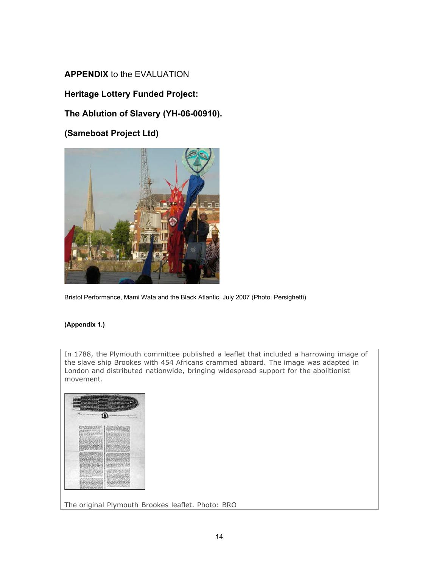## **APPENDIX** to the EVALUATION

## **Heritage Lottery Funded Project:**

## **The Ablution of Slavery (YH-06-00910).**

**(Sameboat Project Ltd)**



Bristol Performance, Mami Wata and the Black Atlantic, July 2007 (Photo. Persighetti)

#### **(Appendix 1.)**

In 1788, the Plymouth committee published a leaflet that included a harrowing image of the slave ship Brookes with 454 Africans crammed aboard. The image was adapted in London and distributed nationwide, bringing widespread support for the abolitionist movement.



The original Plymouth Brookes leaflet. Photo: BRO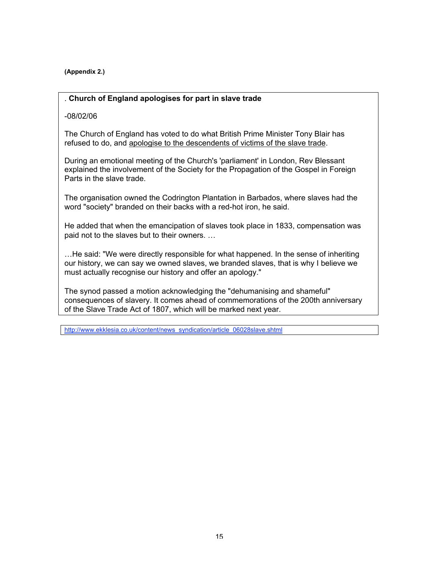**(Appendix 2.)**

#### . **Church of England apologises for part in slave trade**

-08/02/06

The Church of England has voted to do what British Prime Minister Tony Blair has refused to do, and apologise to the descendents of victims of the slave trade.

During an emotional meeting of the Church's 'parliament' in London, Rev Blessant explained the involvement of the Society for the Propagation of the Gospel in Foreign Parts in the slave trade.

The organisation owned the Codrington Plantation in Barbados, where slaves had the word "society" branded on their backs with a red-hot iron, he said.

He added that when the emancipation of slaves took place in 1833, compensation was paid not to the slaves but to their owners. …

…He said: "We were directly responsible for what happened. In the sense of inheriting our history, we can say we owned slaves, we branded slaves, that is why I believe we must actually recognise our history and offer an apology."

The synod passed a motion acknowledging the "dehumanising and shameful" consequences of slavery. It comes ahead of commemorations of the 200th anniversary of the Slave Trade Act of 1807, which will be marked next year.

http://www.ekklesia.co.uk/content/news\_syndication/article\_06028slave.shtml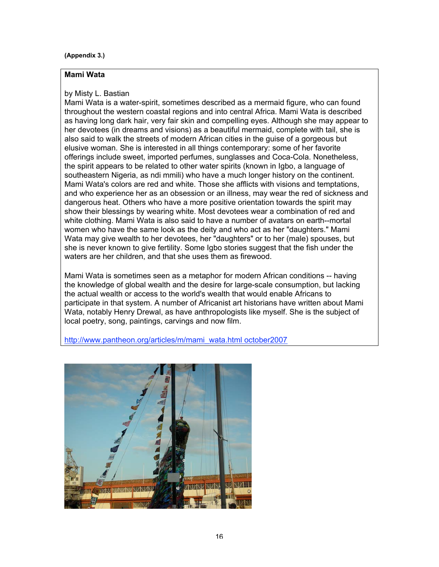#### **(Appendix 3.)**

#### **Mami Wata**

#### by Misty L. Bastian

Mami Wata is a water-spirit, sometimes described as a mermaid figure, who can found throughout the western coastal regions and into central Africa. Mami Wata is described as having long dark hair, very fair skin and compelling eyes. Although she may appear to her devotees (in dreams and visions) as a beautiful mermaid, complete with tail, she is also said to walk the streets of modern African cities in the guise of a gorgeous but elusive woman. She is interested in all things contemporary: some of her favorite offerings include sweet, imported perfumes, sunglasses and Coca-Cola. Nonetheless, the spirit appears to be related to other water spirits (known in Igbo, a language of southeastern Nigeria, as ndi mmili) who have a much longer history on the continent. Mami Wata's colors are red and white. Those she afflicts with visions and temptations, and who experience her as an obsession or an illness, may wear the red of sickness and dangerous heat. Others who have a more positive orientation towards the spirit may show their blessings by wearing white. Most devotees wear a combination of red and white clothing. Mami Wata is also said to have a number of avatars on earth--mortal women who have the same look as the deity and who act as her "daughters." Mami Wata may give wealth to her devotees, her "daughters" or to her (male) spouses, but she is never known to give fertility. Some Igbo stories suggest that the fish under the waters are her children, and that she uses them as firewood.

Mami Wata is sometimes seen as a metaphor for modern African conditions -- having the knowledge of global wealth and the desire for large-scale consumption, but lacking the actual wealth or access to the world's wealth that would enable Africans to participate in that system. A number of Africanist art historians have written about Mami Wata, notably Henry Drewal, as have anthropologists like myself. She is the subject of local poetry, song, paintings, carvings and now film.

http://www.pantheon.org/articles/m/mami\_wata.html october2007

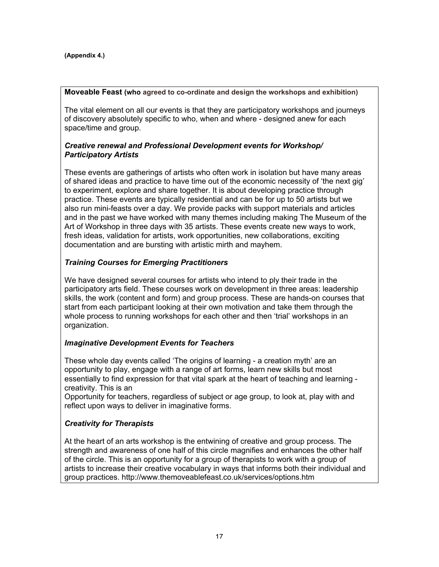#### **Moveable Feast (who agreed to co-ordinate and design the workshops and exhibition)**

The vital element on all our events is that they are participatory workshops and journeys of discovery absolutely specific to who, when and where - designed anew for each space/time and group.

#### *Creative renewal and Professional Development events for Workshop/ Participatory Artists*

These events are gatherings of artists who often work in isolation but have many areas of shared ideas and practice to have time out of the economic necessity of 'the next gig' to experiment, explore and share together. It is about developing practice through practice. These events are typically residential and can be for up to 50 artists but we also run mini-feasts over a day. We provide packs with support materials and articles and in the past we have worked with many themes including making The Museum of the Art of Workshop in three days with 35 artists. These events create new ways to work, fresh ideas, validation for artists, work opportunities, new collaborations, exciting documentation and are bursting with artistic mirth and mayhem.

### *Training Courses for Emerging Practitioners*

We have designed several courses for artists who intend to ply their trade in the participatory arts field. These courses work on development in three areas: leadership skills, the work (content and form) and group process. These are hands-on courses that start from each participant looking at their own motivation and take them through the whole process to running workshops for each other and then 'trial' workshops in an organization.

#### *Imaginative Development Events for Teachers*

These whole day events called 'The origins of learning - a creation myth' are an opportunity to play, engage with a range of art forms, learn new skills but most essentially to find expression for that vital spark at the heart of teaching and learning creativity. This is an

Opportunity for teachers, regardless of subject or age group, to look at, play with and reflect upon ways to deliver in imaginative forms.

## *Creativity for Therapists*

At the heart of an arts workshop is the entwining of creative and group process. The strength and awareness of one half of this circle magnifies and enhances the other half of the circle. This is an opportunity for a group of therapists to work with a group of artists to increase their creative vocabulary in ways that informs both their individual and group practices. http://www.themoveablefeast.co.uk/services/options.htm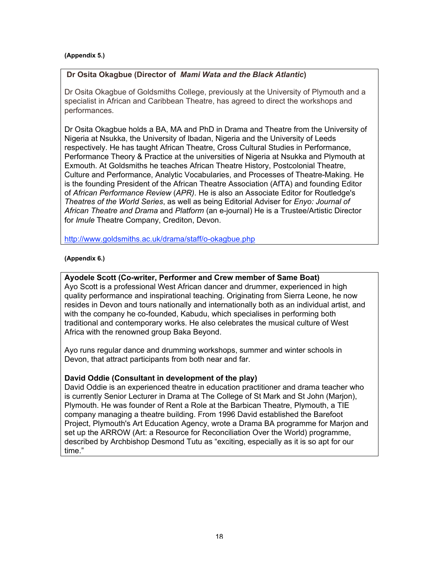#### **(Appendix 5.)**

### **Dr Osita Okagbue (Director of** *Mami Wata and the Black Atlantic***)**

Dr Osita Okagbue of Goldsmiths College, previously at the University of Plymouth and a specialist in African and Caribbean Theatre, has agreed to direct the workshops and performances.

Dr Osita Okagbue holds a BA, MA and PhD in Drama and Theatre from the University of Nigeria at Nsukka, the University of Ibadan, Nigeria and the University of Leeds respectively. He has taught African Theatre, Cross Cultural Studies in Performance, Performance Theory & Practice at the universities of Nigeria at Nsukka and Plymouth at Exmouth. At Goldsmiths he teaches African Theatre History, Postcolonial Theatre, Culture and Performance, Analytic Vocabularies, and Processes of Theatre-Making. He is the founding President of the African Theatre Association (AfTA) and founding Editor of *African Performance Review* (*APR)*. He is also an Associate Editor for Routledge's *Theatres of the World Series*, as well as being Editorial Adviser for *Enyo: Journal of African Theatre and Drama* and *Platform* (an e-journal) He is a Trustee/Artistic Director for *Imule* Theatre Company, Crediton, Devon.

http://www.goldsmiths.ac.uk/drama/staff/o-okagbue.php

#### **(Appendix 6.)**

#### **Ayodele Scott (Co-writer, Performer and Crew member of Same Boat)**

Ayo Scott is a professional West African dancer and drummer, experienced in high quality performance and inspirational teaching. Originating from Sierra Leone, he now resides in Devon and tours nationally and internationally both as an individual artist, and with the company he co-founded, Kabudu, which specialises in performing both traditional and contemporary works. He also celebrates the musical culture of West Africa with the renowned group Baka Beyond.

Ayo runs regular dance and drumming workshops, summer and winter schools in Devon, that attract participants from both near and far.

#### **David Oddie (Consultant in development of the play)**

David Oddie is an experienced theatre in education practitioner and drama teacher who is currently Senior Lecturer in Drama at The College of St Mark and St John (Marjon), Plymouth. He was founder of Rent a Role at the Barbican Theatre, Plymouth, a TIE company managing a theatre building. From 1996 David established the Barefoot Project, Plymouth's Art Education Agency, wrote a Drama BA programme for Marjon and set up the ARROW (Art: a Resource for Reconciliation Over the World) programme, described by Archbishop Desmond Tutu as "exciting, especially as it is so apt for our time."